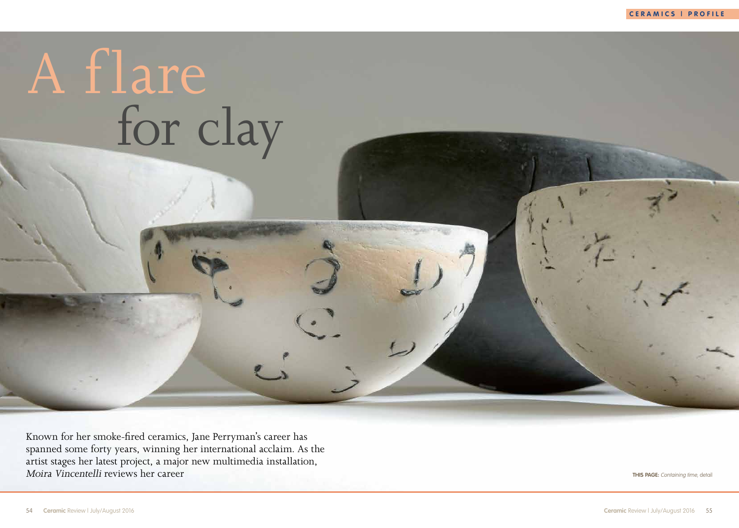**CERAMICS | PROFILE**



**THIS PAGE:** Containing time, detail

Known for her smoke-fired ceramics, Jane Perryman's career has spanned some forty years, winning her international acclaim. As the artist stages her latest project, a major new multimedia installation, Moira Vincentelli reviews her career

## A flare for clay